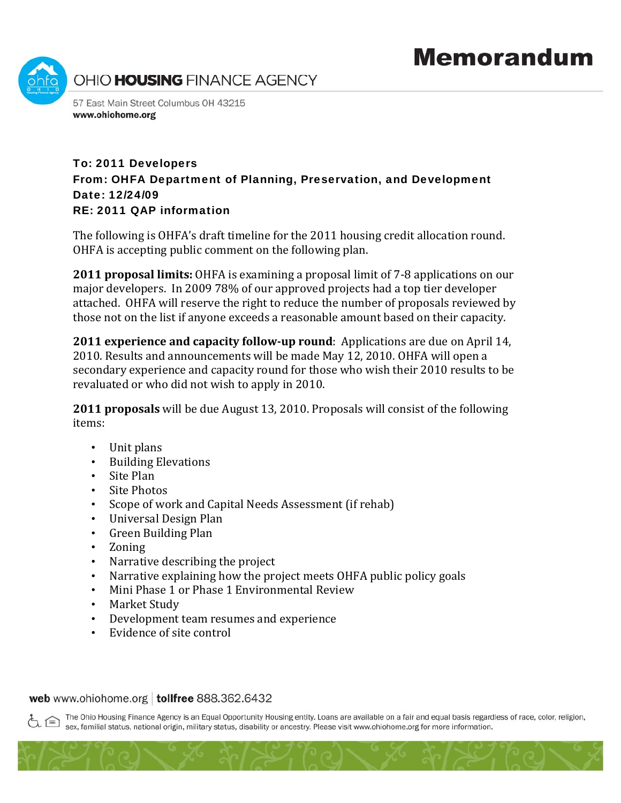

## To: 2011 Developers From: OHFA Department of Planning, Preservation, and Development Date: 12/24/09 RE: 2011 QAP information

The following is OHFA's draft timeline for the 2011 housing credit allocation round. OHFA is accepting public comment on the following plan.

**2011 proposal limits:** OHFA is examining a proposal limit of 7‐8 applications on our major developers. In 2009 78% of our approved projects had a top tier developer attached. OHFA will reserve the right to reduce the number of proposals reviewed by those not on the list if anyone exceeds a reasonable amount based on their capacity.

**2011 experience and capacity followup round**: Applications are due on April 14, 2010. Results and announcements will be made May 12, 2010. OHFA will open a secondary experience and capacity round for those who wish their 2010 results to be revaluated or who did not wish to apply in 2010.

**2011 proposals** will be due August 13, 2010. Proposals will consist of the following items:

- Unit plan s
- Building Elevations
- Site Plan
- Site Photos
- Scope of work and Capital Needs Assessment (if rehab)
- Universal Design Plan
- Green Building Plan
- Zoning
- Narrative describing the project
- Narrative explaining how the project meets OHFA public policy goals
- Mini Phase 1 or Phase 1 Environmental Review
- Market Study
- Development team resumes and experience
- Evidence of site control •

web www.ohiohome.org | tollfree 888.362.6432

The Ohio Housing Finance Agency is an Equal Opportunity Housing entity. Loans are available on a fair and equal basis regardless of race, color, religion, sex, familial status, national origin, military status, disability or ancestry. Please visit www.ohiohome.org for more information.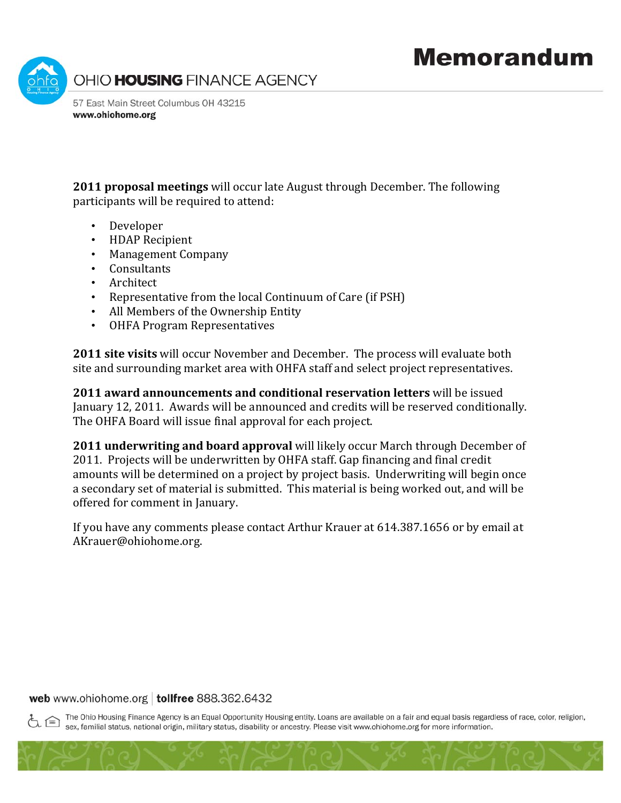

**2011 proposal meetings** will occur late August through December. The following participants will be required to attend:

- Developer
- HDAP Recipi ent
- Management Company
- Consultants
- Architect
- Representative from the local Continuum of Care (if PSH)
- All Members of the Ownership Entity
- OHFA Program Representatives

**2011 site visits** will occur November and December. The process will evaluate both site and surrounding market area with OHFA staff and select project representatives.

**2011 award announcements and conditional reservation letters** will be issued January 12, 2011. Awards will be announced and credits will be reserved conditionally. The OHFA Board will issue final approval for each project.

**2011 underwriting and board approval** will likely occur March through December of 2011. Projects will be underwritten by OHFA staff. Gap financing and final credit amounts will be determined on a project by project basis. Underwriting will begin once a secondary set of material is submitted. This material is being worked out, and will be offered for comment in January.

If you have any comments please contact Arthur Krauer at 614.387.1656 or by email at AKrauer@ohiohome.org.

## web www.ohiohome.org | tollfree 888.362.6432

The Ohio Housing Finance Agency is an Equal Opportunity Housing entity. Loans are available on a fair and equal basis regardless of race, color, religion, sex, familial status, national origin, military status, disability or ancestry. Please visit www.ohiohome.org for more information.